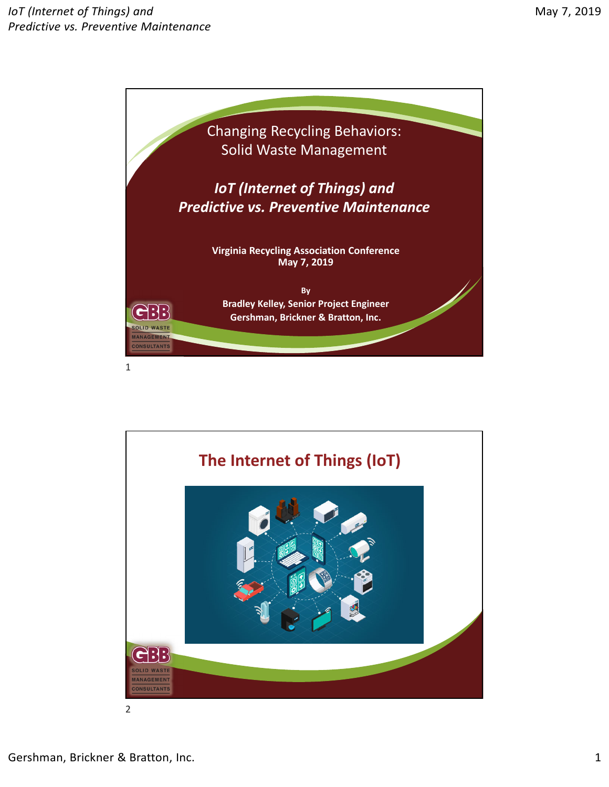

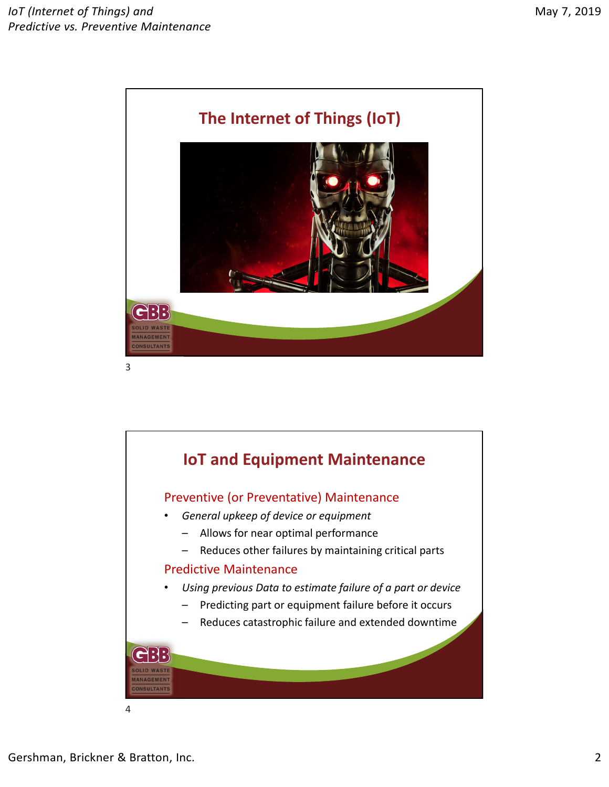

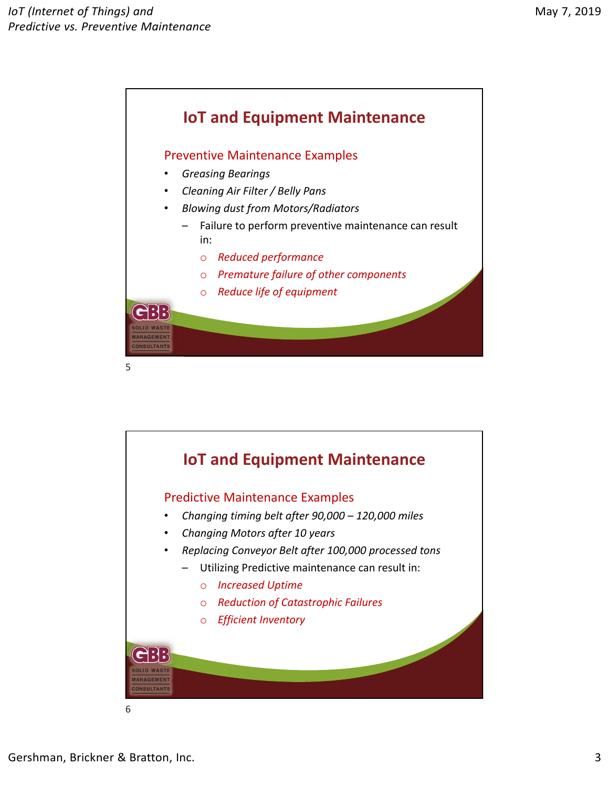

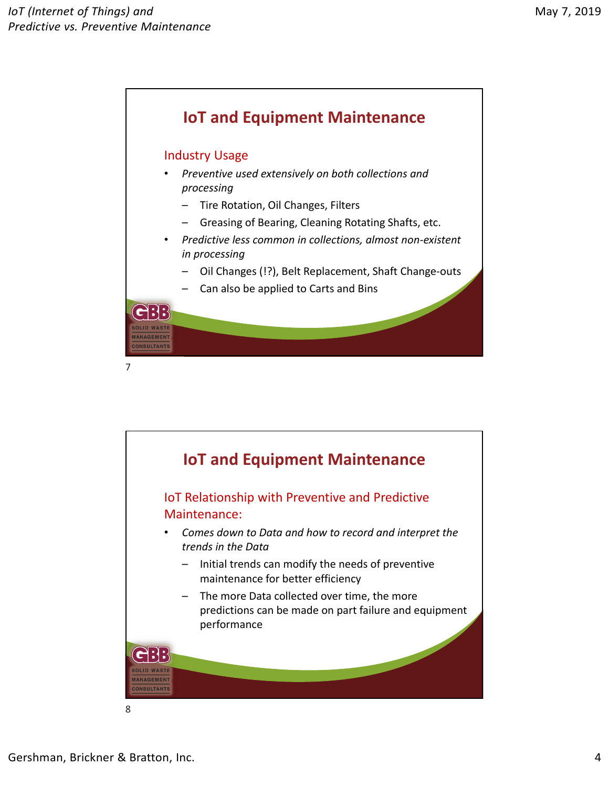

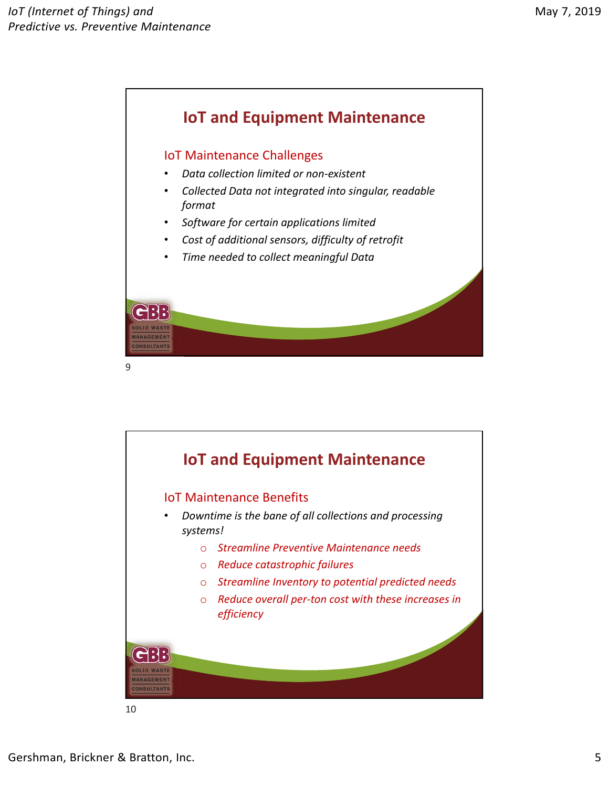